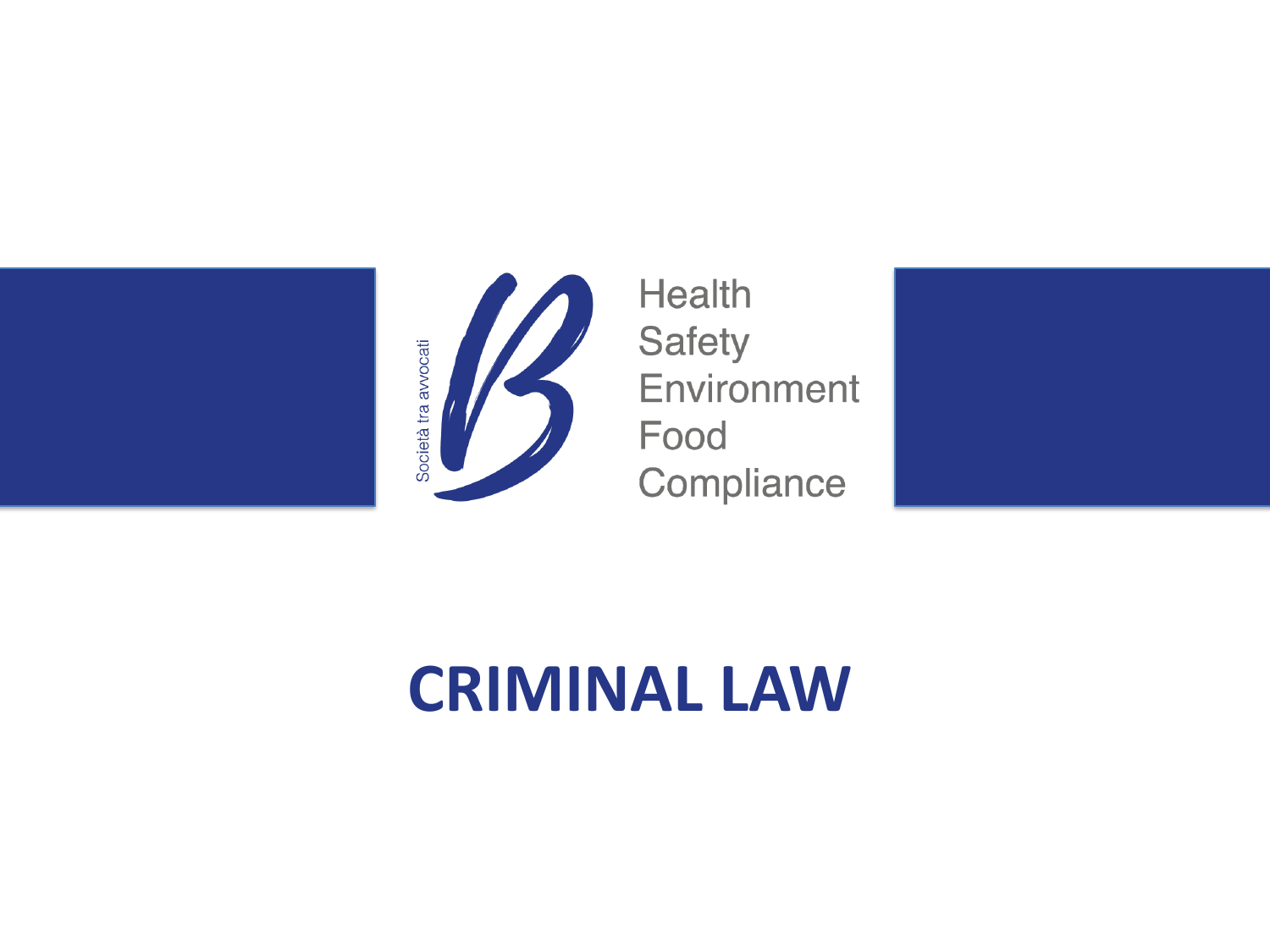



**Health Safety** Food



# **CRIMINAL LAW**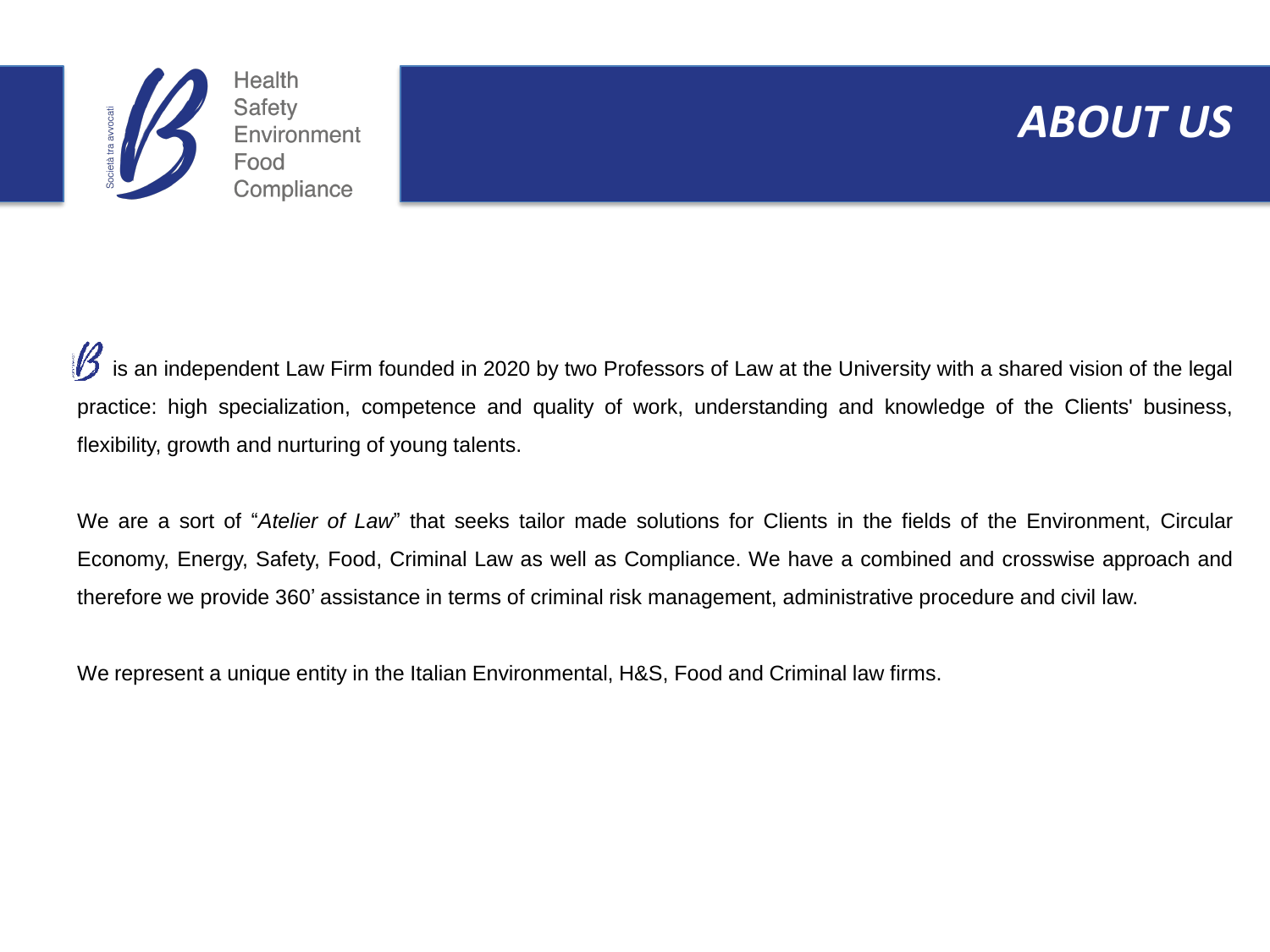

#### **ABOUT US**

is an independent Law Firm founded in 2020 by two Professors of Law at the University with a shared vision of the legal practice: high specialization, competence and quality of work, understanding and knowledge of the Clients' business, flexibility, growth and nurturing of young talents.

We are a sort of "*Atelier of Law*" that seeks tailor made solutions for Clients in the fields of the Environment, Circular Economy, Energy, Safety, Food, Criminal Law as well as Compliance. We have a combined and crosswise approach and therefore we provide 360' assistance in terms of criminal risk management, administrative procedure and civil law.

We represent a unique entity in the Italian Environmental, H&S, Food and Criminal law firms.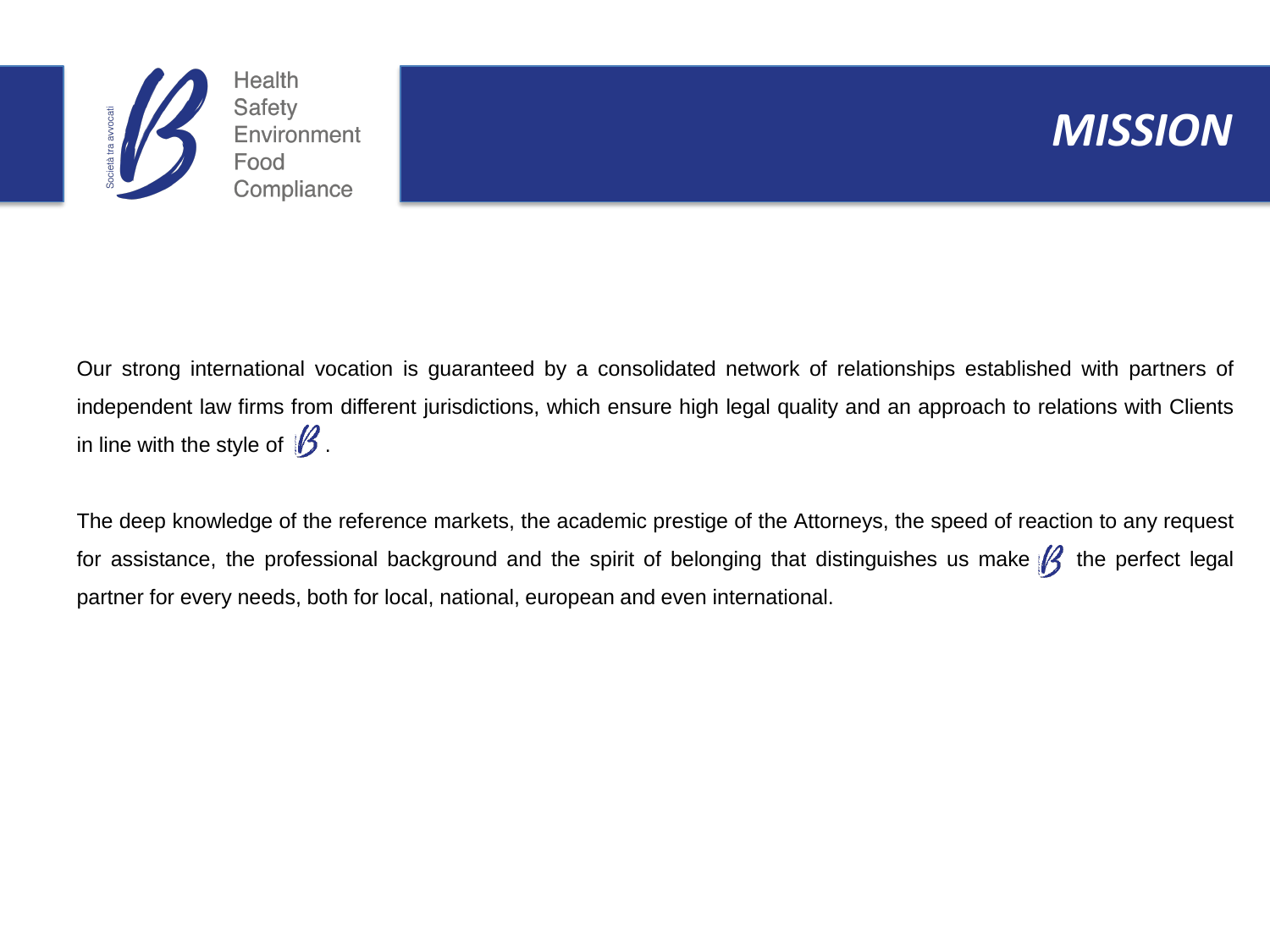



Our strong international vocation is guaranteed by a consolidated network of relationships established with partners of independent law firms from different jurisdictions, which ensure high legal quality and an approach to relations with Clients in line with the style of  $\mathcal B$ .

The deep knowledge of the reference markets, the academic prestige of the Attorneys, the speed of reaction to any request for assistance, the professional background and the spirit of belonging that distinguishes us make  $\beta$  the perfect legal partner for every needs, both for local, national, european and even international.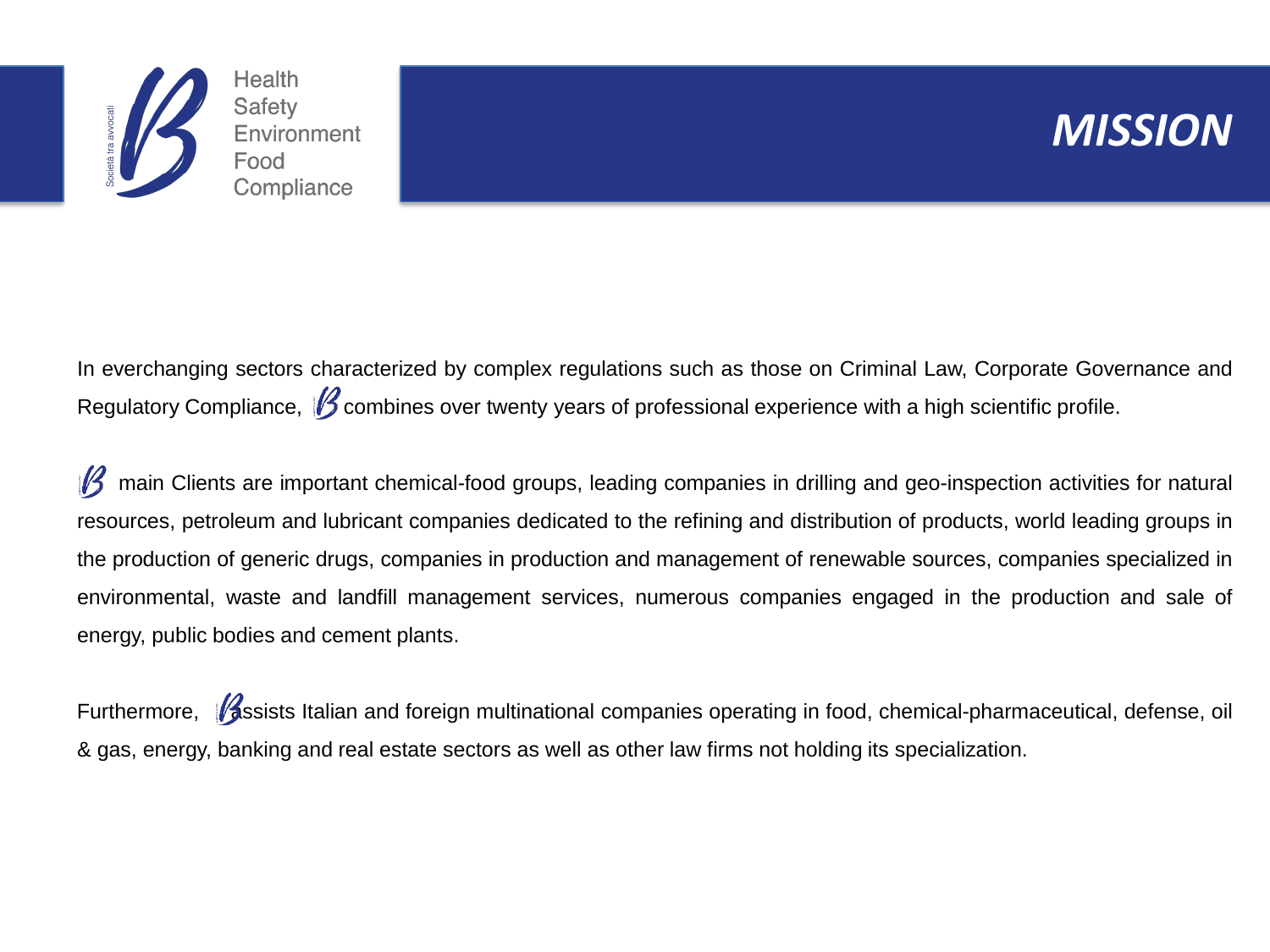

#### MISSION*MISSION*

In everchanging sectors characterized by complex regulations such as those on Criminal Law, Corporate Governance and Regulatory Compliance,  $\beta$  combines over twenty years of professional experience with a high scientific profile.

main Clients are important chemical-food groups, leading companies in drilling and geo-inspection activities for natural resources, petroleum and lubricant companies dedicated to the refining and distribution of products, world leading groups in the production of generic drugs, companies in production and management of renewable sources, companies specialized in environmental, waste and landfill management services, numerous companies engaged in the production and sale of energy, public bodies and cement plants.

Furthermore, **Assists Italian and foreign multinational companies operating in food, chemical-pharmaceutical, defense, oil** & gas, energy, banking and real estate sectors as well as other law firms not holding its specialization.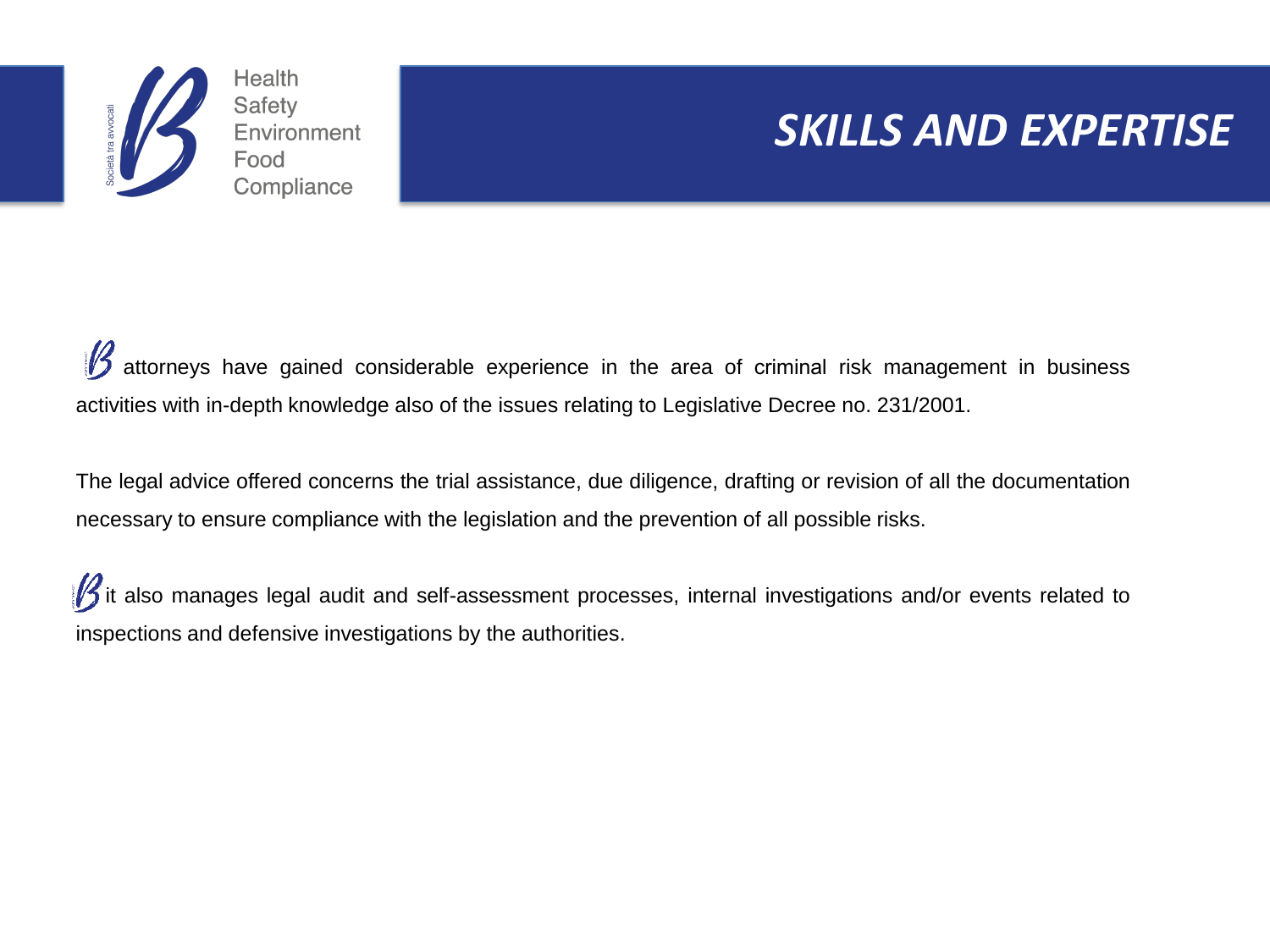

### **SKILLS AND EXPERTISE**

attorneys have gained considerable experience in the area of criminal risk management in business activities with in-depth knowledge also of the issues relating to Legislative Decree no. 231/2001.

The legal advice offered concerns the trial assistance, due diligence, drafting or revision of all the documentation necessary to ensure compliance with the legislation and the prevention of all possible risks.

 $\mathscr B$  it also manages legal audit and self-assessment processes, internal investigations and/or events related to inspections and defensive investigations by the authorities.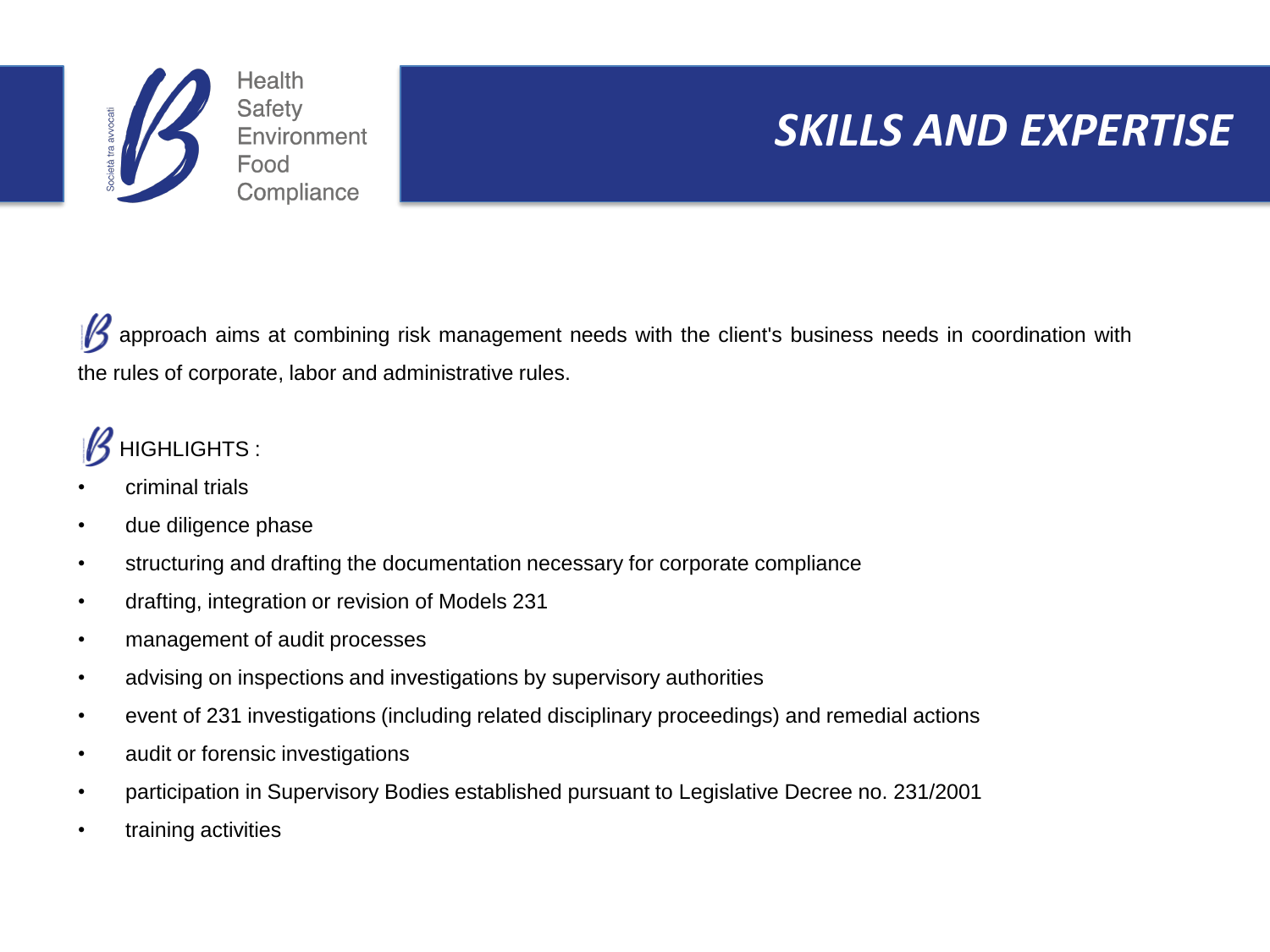

## SKILLS AND EXPERTISE<sup>1</sup>

 $\mathscr B$ approach aims at combining risk management needs with the client's business needs in coordination with the rules of corporate, labor and administrative rules.

### HIGHLIGHTS :

- criminal trials
- due diligence phase
- structuring and drafting the documentation necessary for corporate compliance
- drafting, integration or revision of Models 231
- management of audit processes
- advising on inspections and investigations by supervisory authorities
- event of 231 investigations (including related disciplinary proceedings) and remedial actions
- audit or forensic investigations
- participation in Supervisory Bodies established pursuant to Legislative Decree no. 231/2001
- training activities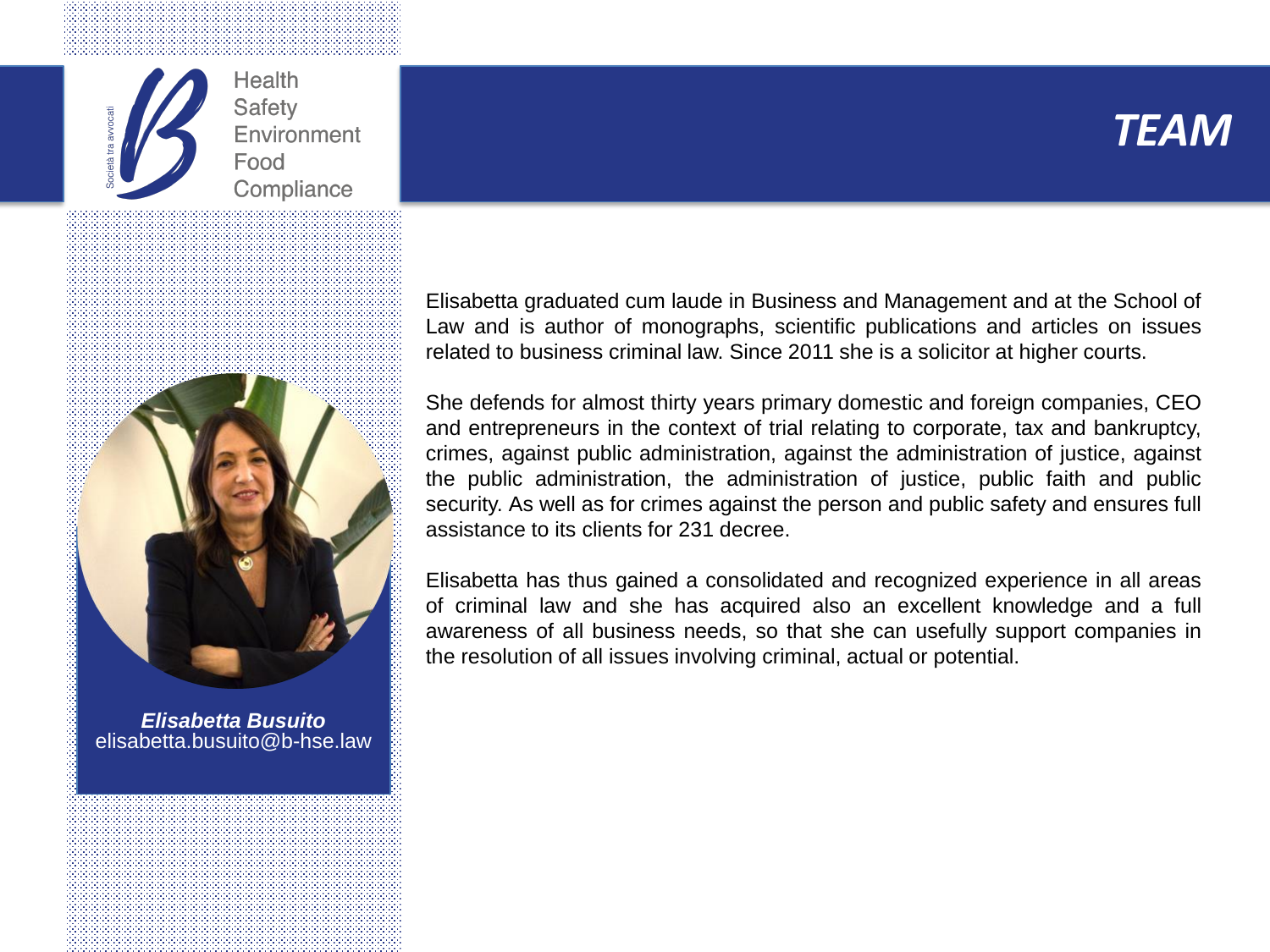





*Elisabetta Busuito* elisabetta.busuito@b-hse.law Elisabetta graduated cum laude in Business and Management and at the School of Law and is author of monographs, scientific publications and articles on issues related to business criminal law. Since 2011 she is a solicitor at higher courts.

She defends for almost thirty years primary domestic and foreign companies, CEO and entrepreneurs in the context of trial relating to corporate, tax and bankruptcy, crimes, against public administration, against the administration of justice, against the public administration, the administration of justice, public faith and public security. As well as for crimes against the person and public safety and ensures full assistance to its clients for 231 decree.

Elisabetta has thus gained a consolidated and recognized experience in all areas of criminal law and she has acquired also an excellent knowledge and a full awareness of all business needs, so that she can usefully support companies in the resolution of all issues involving criminal, actual or potential.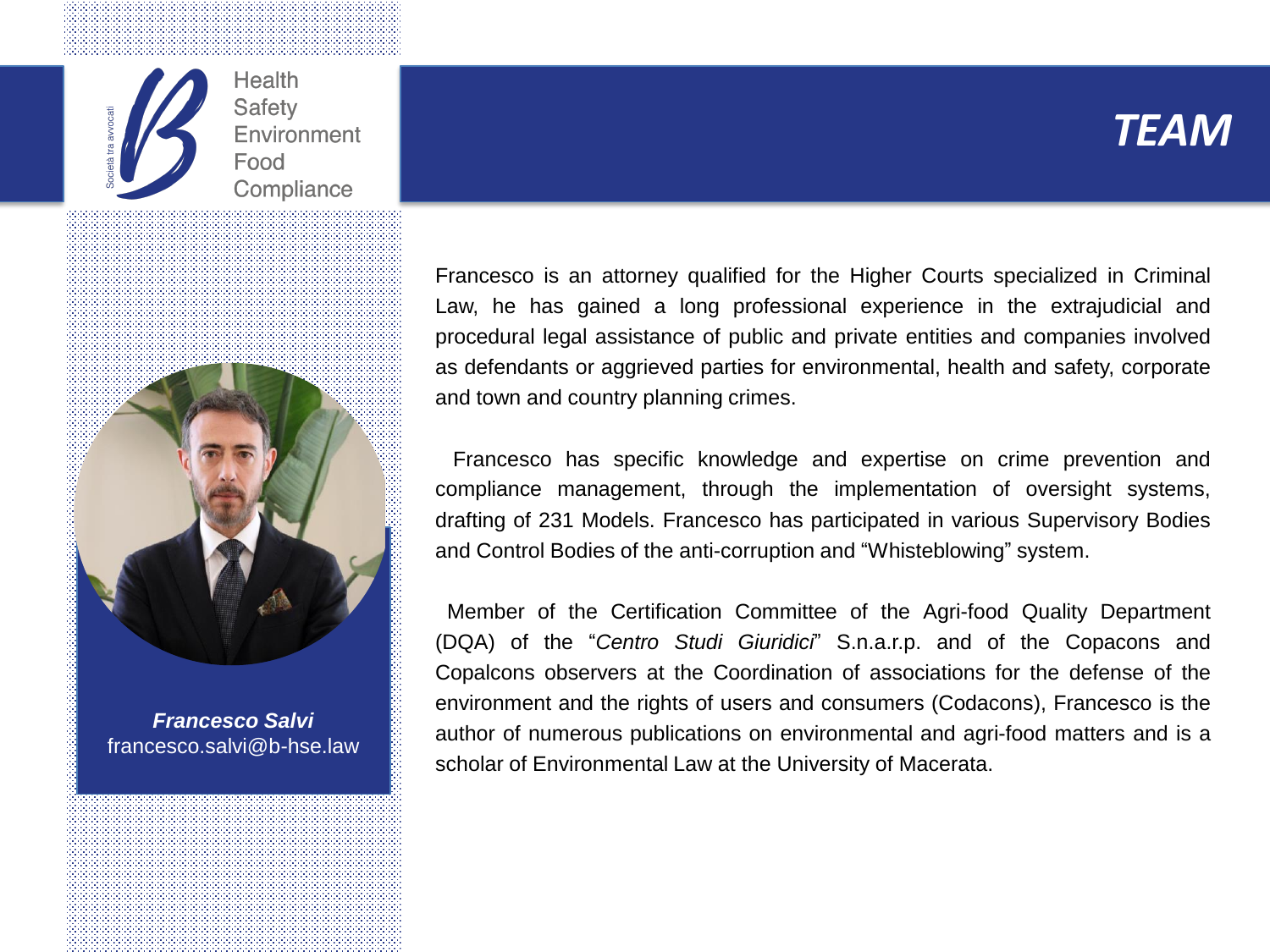



*Francesco Salvi* francesco.salvi@b-hse.law Francesco is an attorney qualified for the Higher Courts specialized in Criminal Law, he has gained a long professional experience in the extrajudicial and procedural legal assistance of public and private entities and companies involved as defendants or aggrieved parties for environmental, health and safety, corporate and town and country planning crimes.

Francesco has specific knowledge and expertise on crime prevention and compliance management, through the implementation of oversight systems, drafting of 231 Models. Francesco has participated in various Supervisory Bodies and Control Bodies of the anti-corruption and "Whisteblowing" system.

Member of the Certification Committee of the Agri-food Quality Department (DQA) of the "*Centro Studi Giuridici*" S.n.a.r.p. and of the Copacons and Copalcons observers at the Coordination of associations for the defense of the environment and the rights of users and consumers (Codacons), Francesco is the author of numerous publications on environmental and agri-food matters and is a scholar of Environmental Law at the University of Macerata.

#### *TEAM*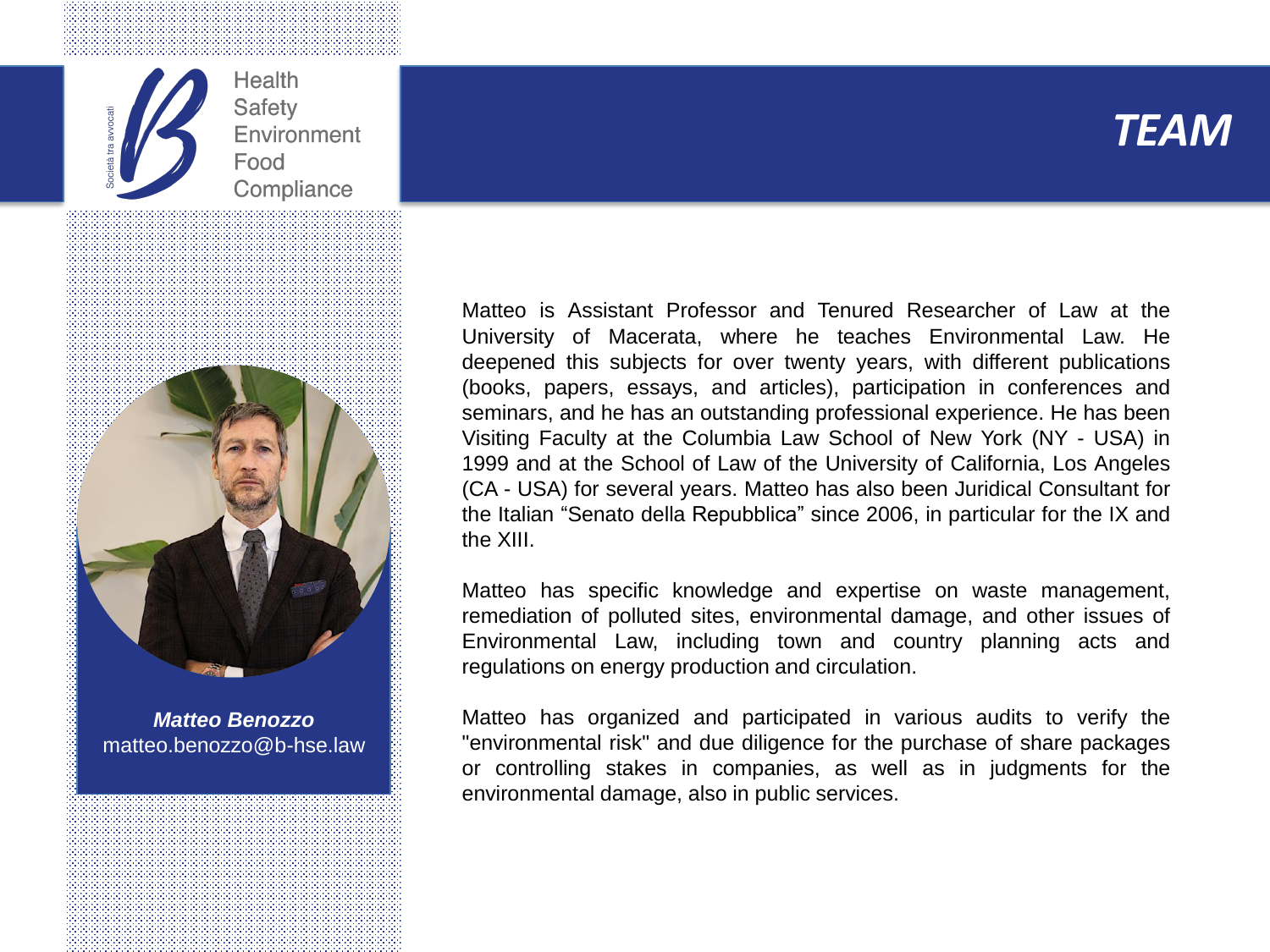





*Matteo Benozzo* matteo.benozzo@b-hse.law

Matteo is Assistant Professor and Tenured Researcher of Law at the University of Macerata, where he teaches Environmental Law. He deepened this subjects for over twenty years, with different publications (books, papers, essays, and articles), participation in conferences and seminars, and he has an outstanding professional experience. He has been Visiting Faculty at the Columbia Law School of New York (NY - USA) in 1999 and at the School of Law of the University of California, Los Angeles (CA - USA) for several years. Matteo has also been Juridical Consultant for the Italian "Senato della Repubblica" since 2006, in particular for the IX and the XIII.

Matteo has specific knowledge and expertise on waste management, remediation of polluted sites, environmental damage, and other issues of Environmental Law, including town and country planning acts and regulations on energy production and circulation.

Matteo has organized and participated in various audits to verify the "environmental risk" and due diligence for the purchase of share packages or controlling stakes in companies, as well as in judgments for the environmental damage, also in public services.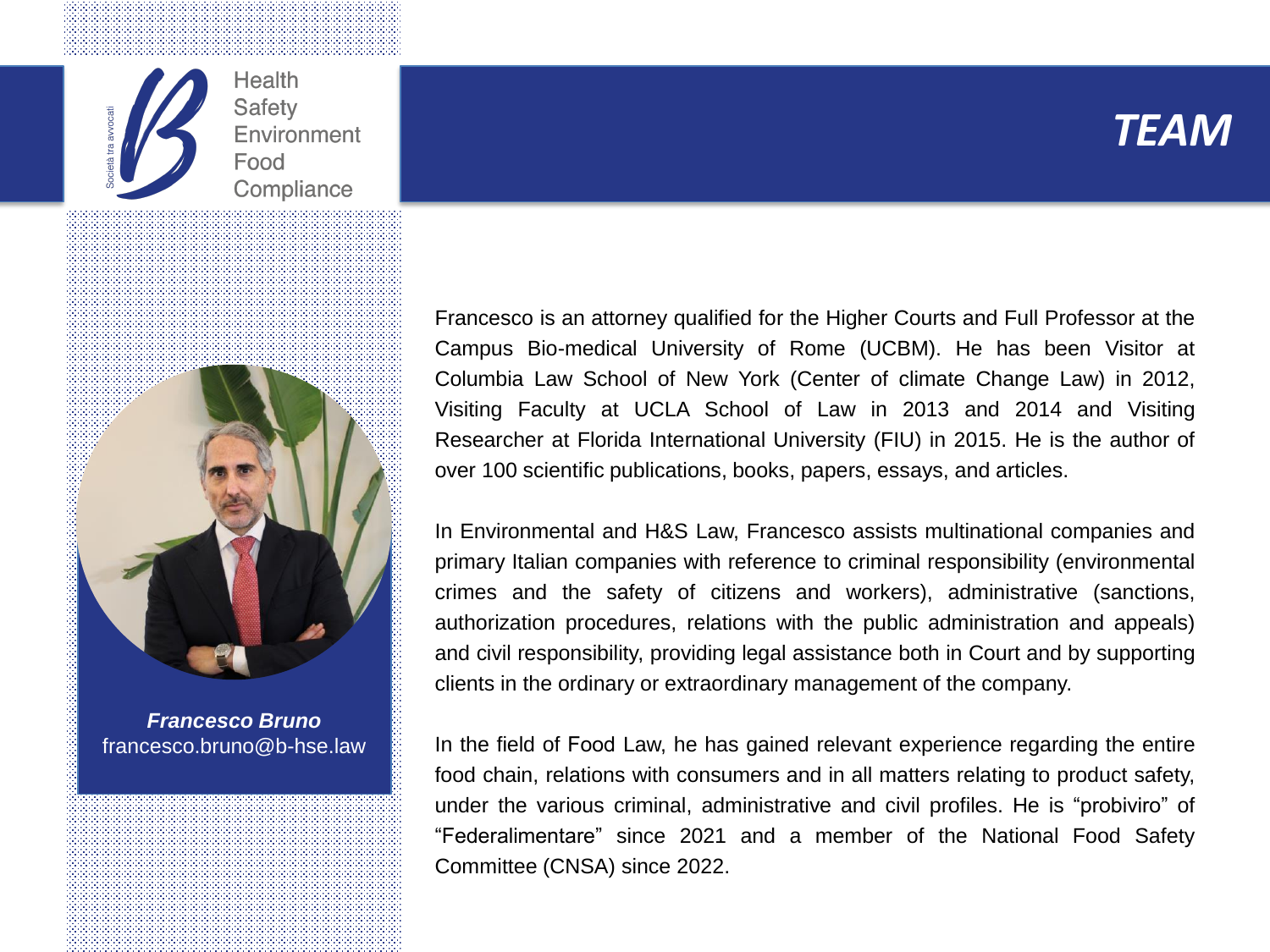





*Francesco Bruno* francesco.bruno@b-hse.law Francesco is an attorney qualified for the Higher Courts and Full Professor at the Campus Bio-medical University of Rome (UCBM). He has been Visitor at Columbia Law School of New York (Center of climate Change Law) in 2012, Visiting Faculty at UCLA School of Law in 2013 and 2014 and Visiting Researcher at Florida International University (FIU) in 2015. He is the author of over 100 scientific publications, books, papers, essays, and articles.

In Environmental and H&S Law, Francesco assists multinational companies and primary Italian companies with reference to criminal responsibility (environmental crimes and the safety of citizens and workers), administrative (sanctions, authorization procedures, relations with the public administration and appeals) and civil responsibility, providing legal assistance both in Court and by supporting clients in the ordinary or extraordinary management of the company.

In the field of Food Law, he has gained relevant experience regarding the entire food chain, relations with consumers and in all matters relating to product safety, under the various criminal, administrative and civil profiles. He is "probiviro" of "Federalimentare" since 2021 and a member of the National Food Safety Committee (CNSA) since 2022.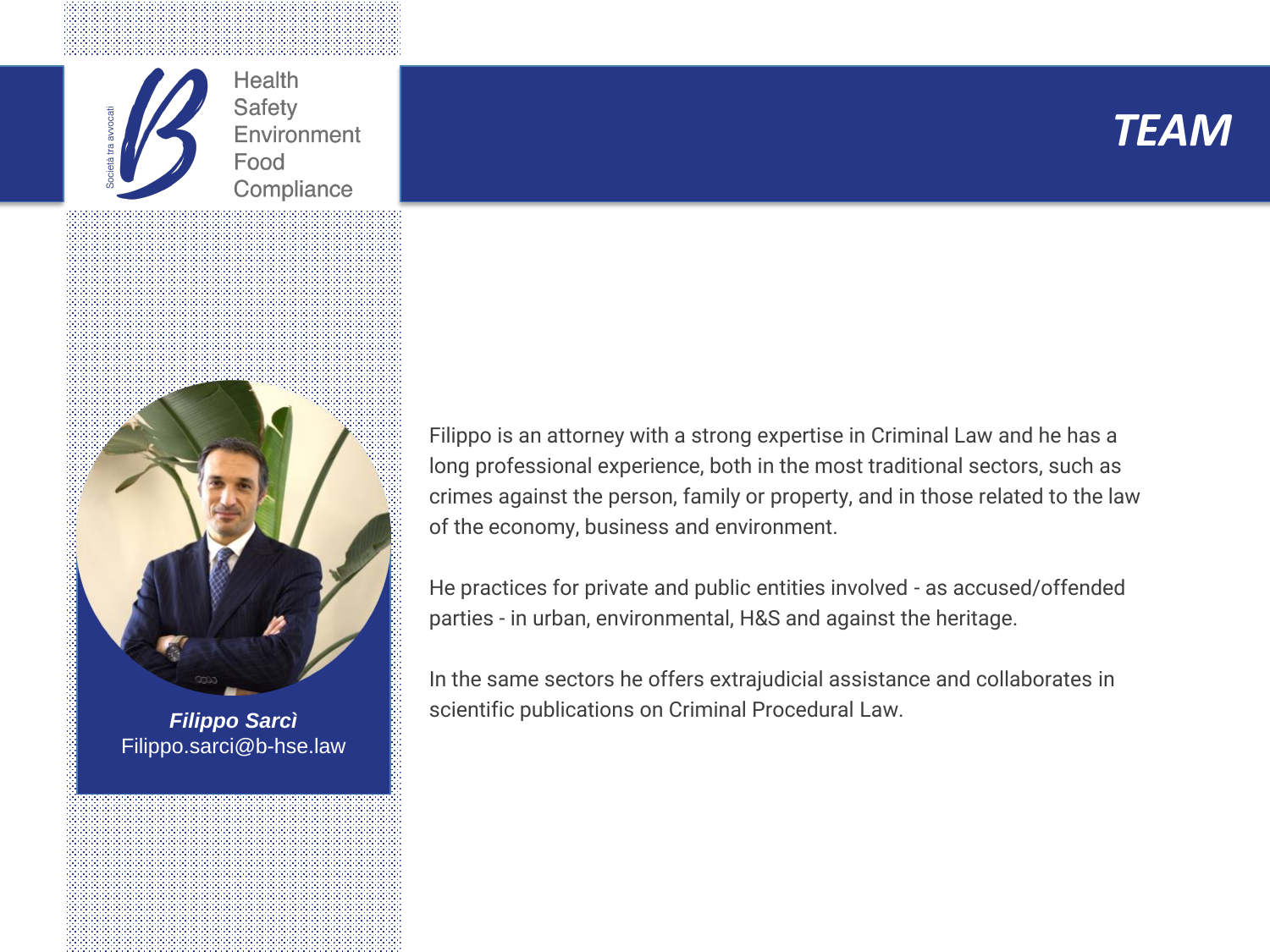





Filippo.sarci@b-hse.law

Filippo is an attorney with a strong expertise in Criminal Law and he has a long professional experience, both in the most traditional sectors, such as crimes against the person, family or property, and in those related to the law of the economy, business and environment.

He practices for private and public entities involved - as accused/offended parties - in urban, environmental, H&S and against the heritage.

In the same sectors he offers extrajudicial assistance and collaborates in scientific publications on Criminal Procedural Law. *Filippo Sarcì*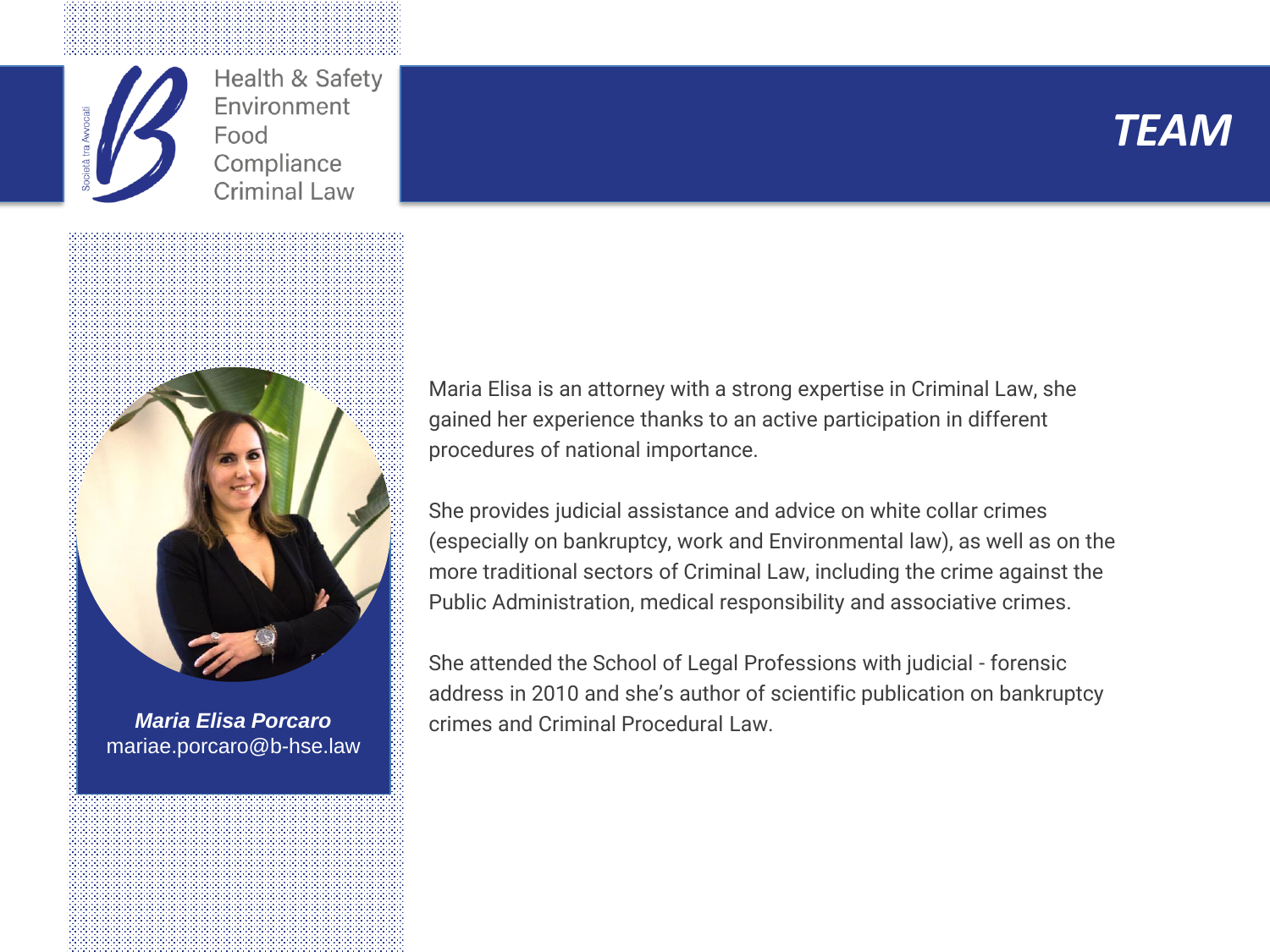

Health & Safety Environment Food Compliance **Criminal Law** 





*Maria Elisa Porcaro* mariae.porcaro@b-hse.law Maria Elisa is an attorney with a strong expertise in Criminal Law, she gained her experience thanks to an active participation in different procedures of national importance.

She provides judicial assistance and advice on white collar crimes (especially on bankruptcy, work and Environmental law), as well as on the more traditional sectors of Criminal Law, including the crime against the Public Administration, medical responsibility and associative crimes.

She attended the School of Legal Professions with judicial - forensic address in 2010 and she's author of scientific publication on bankruptcy crimes and Criminal Procedural Law.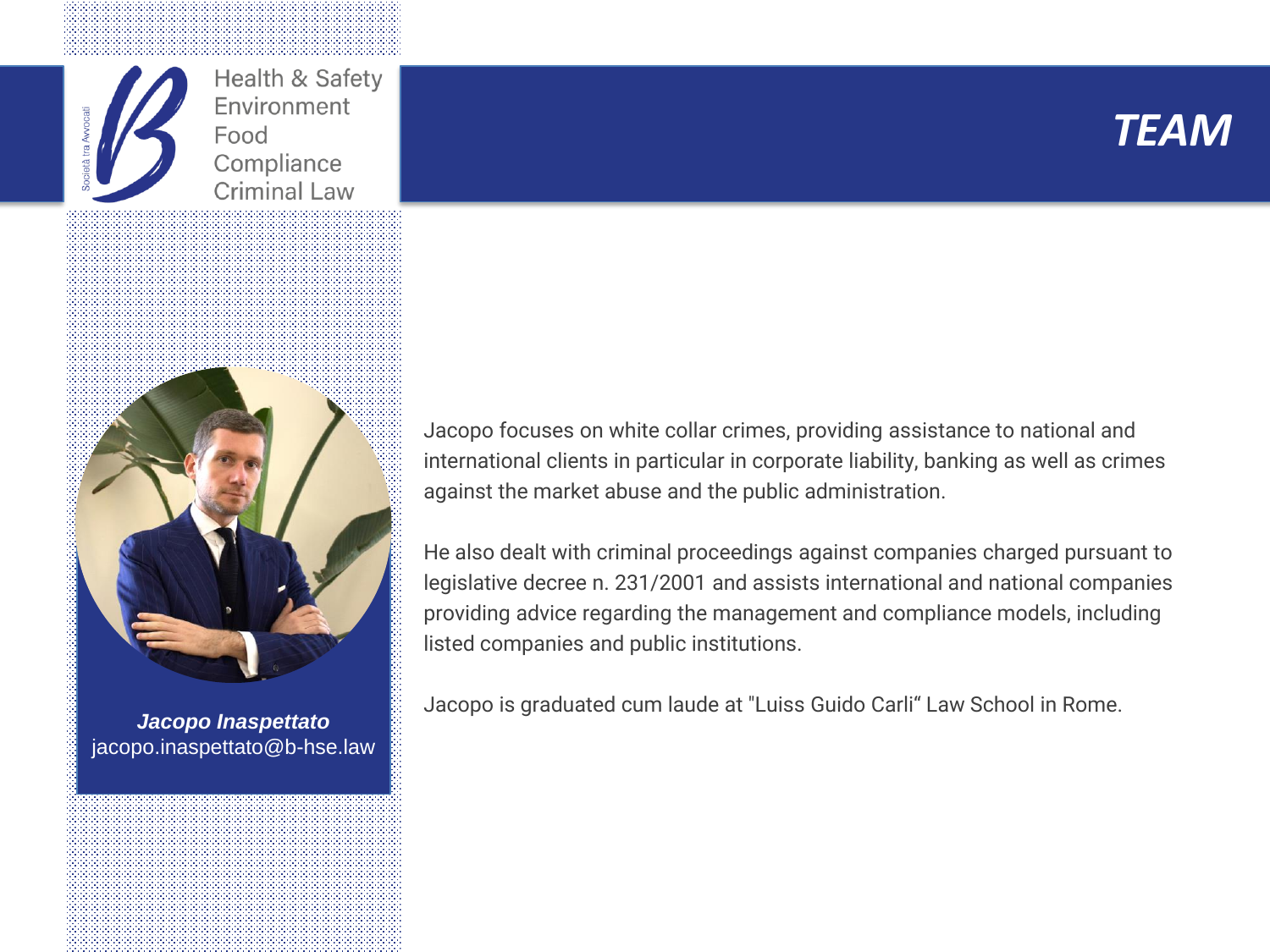

Health & Safety Environment Food Compliance **Criminal Law** 





*Jacopo Inaspettato* jacopo.inaspettato@b-hse.law

Jacopo focuses on white collar crimes, providing assistance to national and international clients in particular in corporate liability, banking as well as crimes against the market abuse and the public administration.

He also dealt with criminal proceedings against companies charged pursuant to legislative decree n. 231/2001 and assists international and national companies providing advice regarding the management and compliance models, including listed companies and public institutions.

Jacopo is graduated cum laude at "Luiss Guido Carli" Law School in Rome.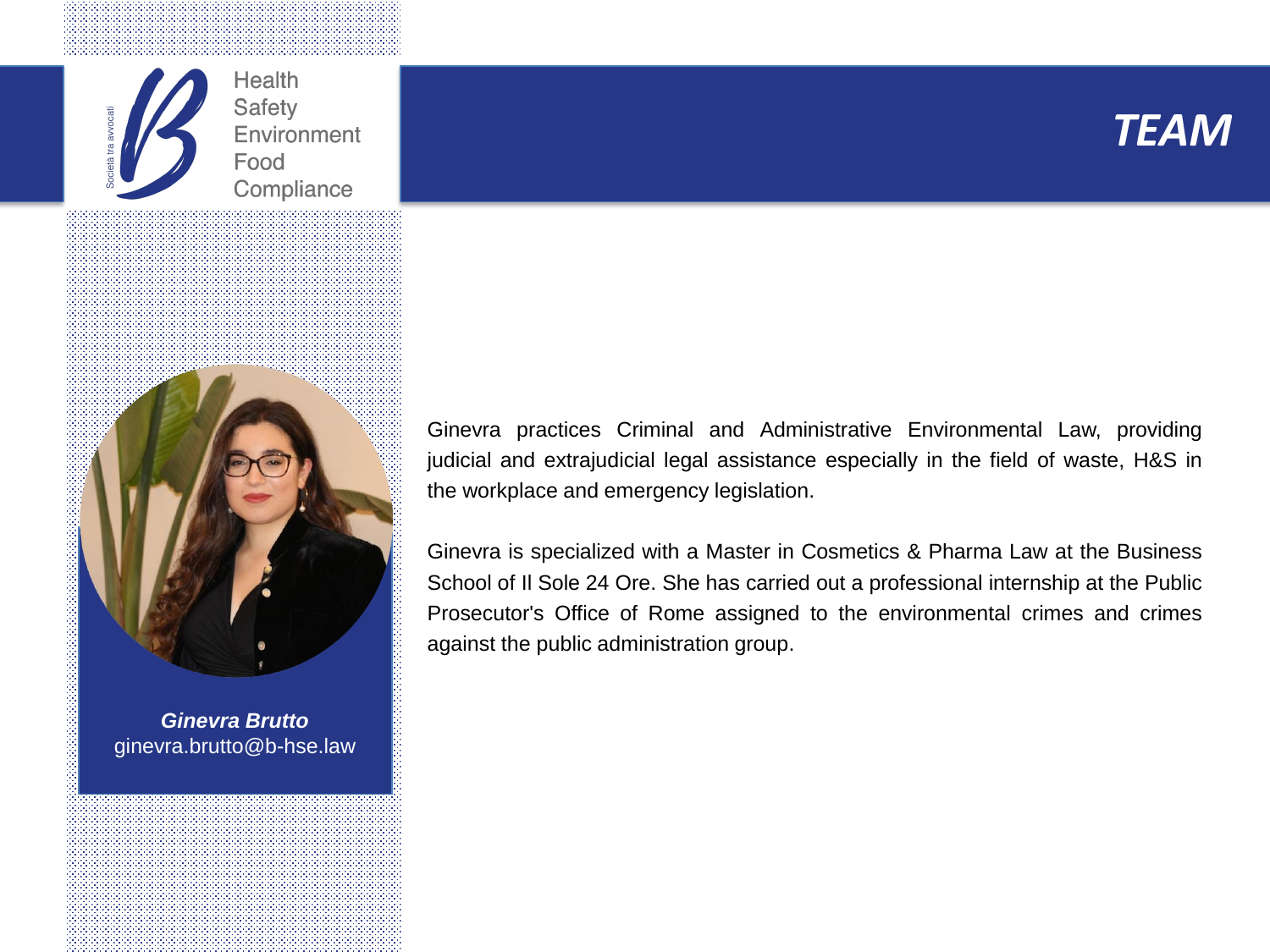





*Ginevra Brutto* ginevra.brutto@b-hse.law Ginevra practices Criminal and Administrative Environmental Law, providing judicial and extrajudicial legal assistance especially in the field of waste, H&S in the workplace and emergency legislation.

Ginevra is specialized with a Master in Cosmetics & Pharma Law at the Business School of Il Sole 24 Ore. She has carried out a professional internship at the Public Prosecutor's Office of Rome assigned to the environmental crimes and crimes against the public administration group.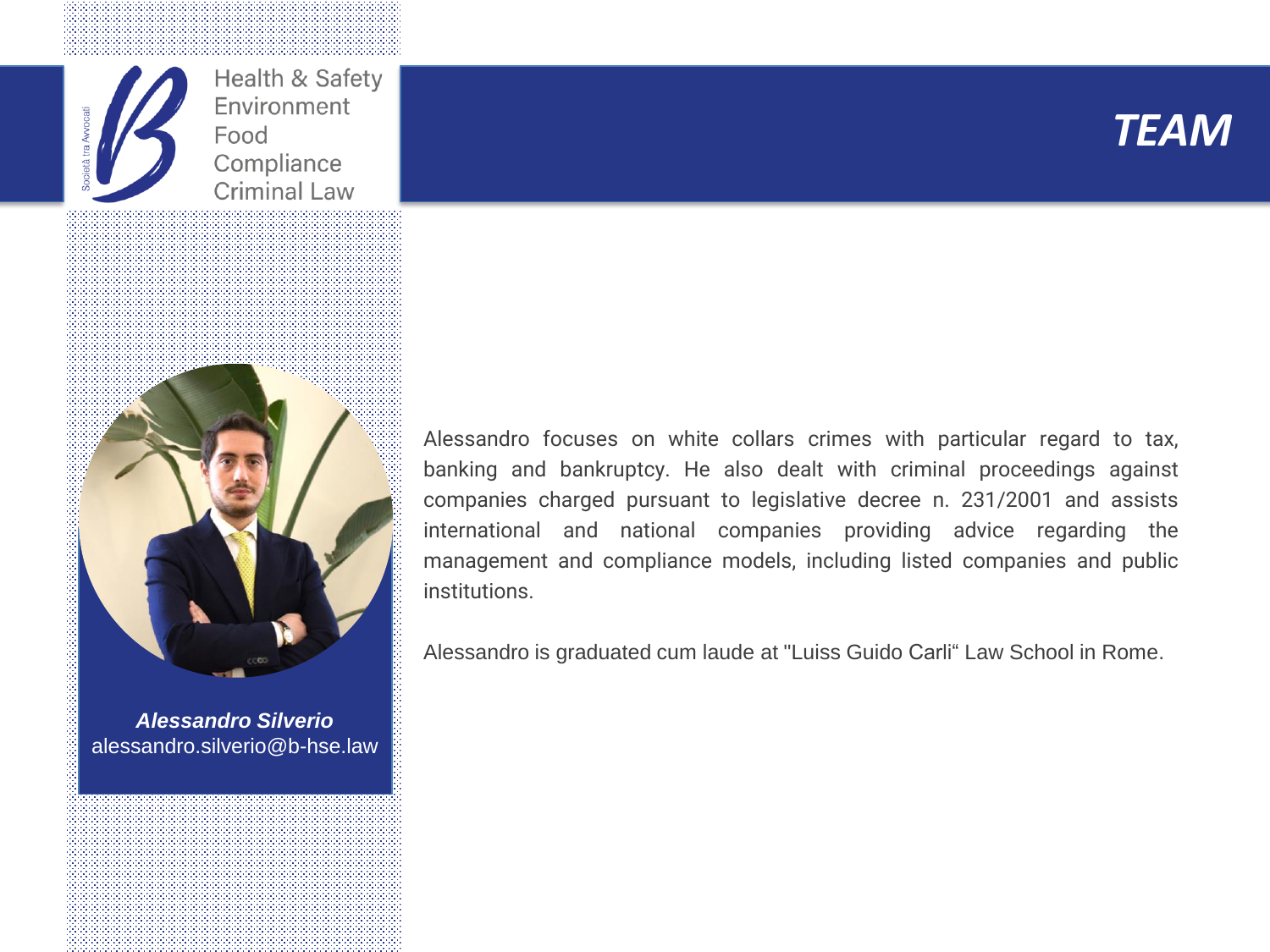

Health & Safety Environment Food Compliance **Criminal Law** 





*Alessandro Silverio* alessandro.silverio@b-hse.law Alessandro focuses on white collars crimes with particular regard to tax, banking and bankruptcy. He also dealt with criminal proceedings against companies charged pursuant to legislative decree n. 231/2001 and assists international and national companies providing advice regarding the management and compliance models, including listed companies and public institutions.

Alessandro is graduated cum laude at "Luiss Guido Carli" Law School in Rome.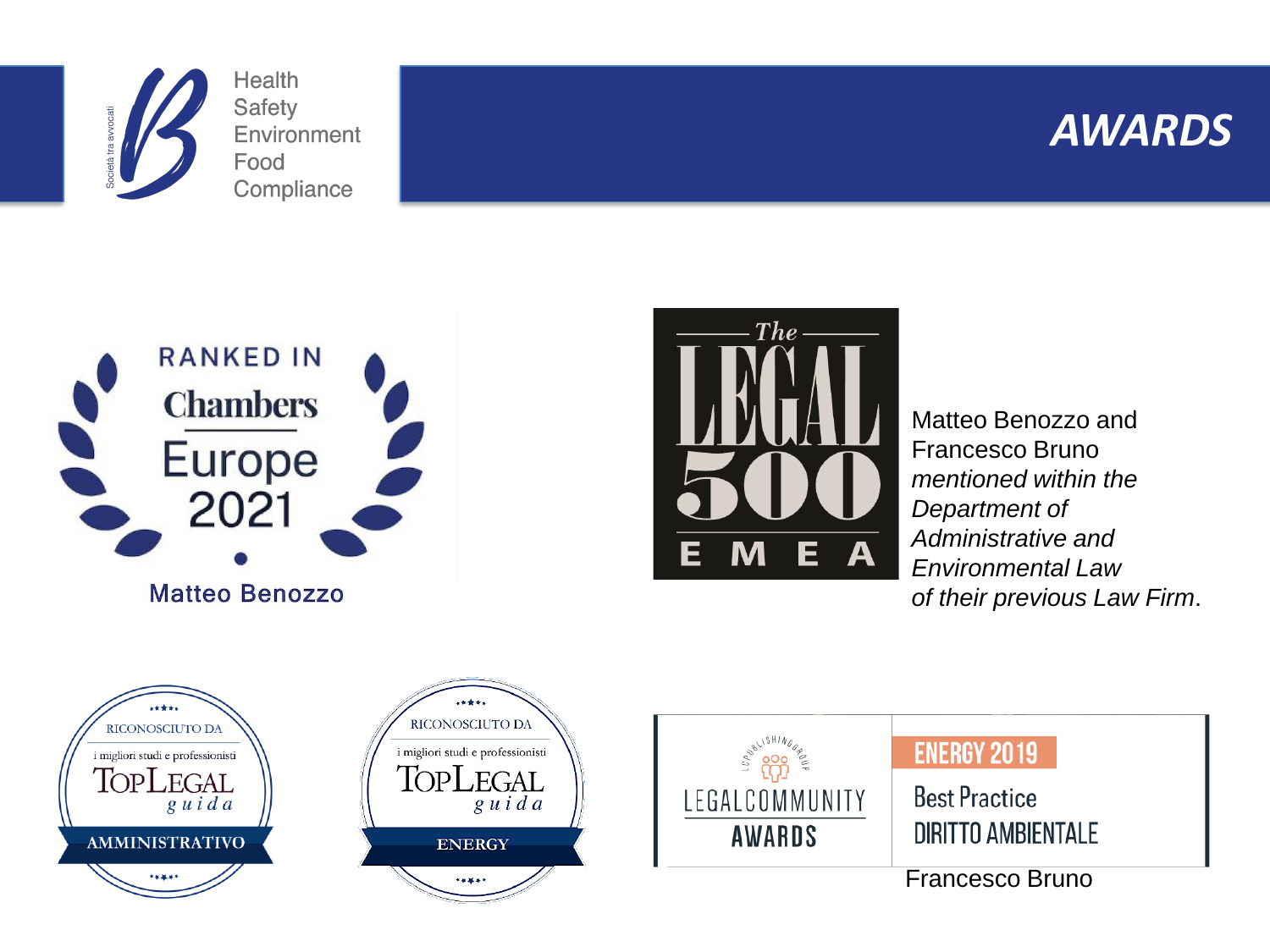





#### **Matteo Benozzo**



Matteo Benozzo and Francesco Bruno *mentioned within the Department of Administrative and Environmental Law of their previous Law Firm*.







#### **ENERGY 2019**

**Best Practice DIRITTO AMBIENTALE** 

Francesco Bruno